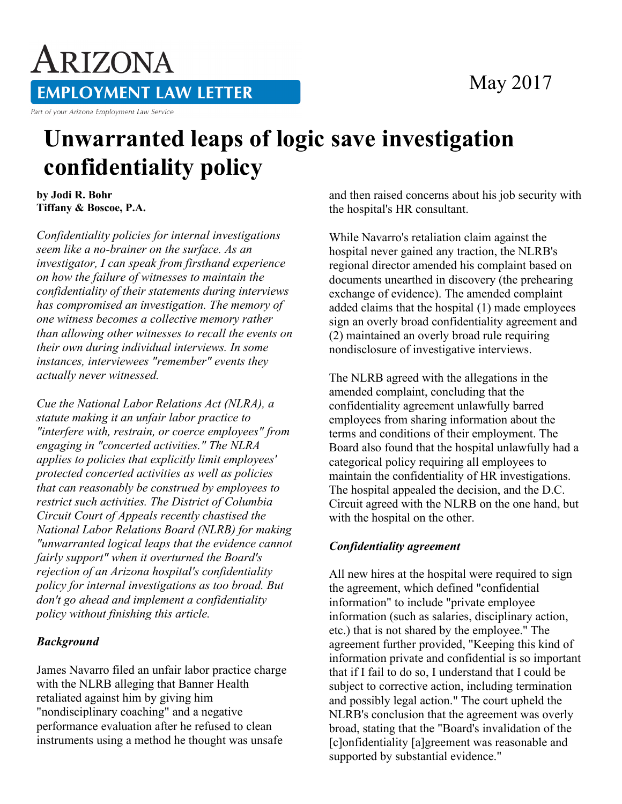### May 2017

# ARIZONA **EMPLOYMENT LAW LETTER**

Part of your Arizona Employment Law Service

## **Unwarranted leaps of logic save investigation confidentiality policy**

**by Jodi R. Bohr Tiffany & Boscoe, P.A.**

*Confidentiality policies for internal investigations seem like a no-brainer on the surface. As an investigator, I can speak from firsthand experience on how the failure of witnesses to maintain the confidentiality of their statements during interviews has compromised an investigation. The memory of one witness becomes a collective memory rather than allowing other witnesses to recall the events on their own during individual interviews. In some instances, interviewees "remember" events they actually never witnessed.*

*Cue the National Labor Relations Act (NLRA), a statute making it an unfair labor practice to "interfere with, restrain, or coerce employees" from engaging in "concerted activities." The NLRA applies to policies that explicitly limit employees' protected concerted activities as well as policies that can reasonably be construed by employees to restrict such activities. The District of Columbia Circuit Court of Appeals recently chastised the National Labor Relations Board (NLRB) for making "unwarranted logical leaps that the evidence cannot fairly support" when it overturned the Board's rejection of an Arizona hospital's confidentiality policy for internal investigations as too broad. But don't go ahead and implement a confidentiality policy without finishing this article.*

#### *Background*

James Navarro filed an unfair labor practice charge with the NLRB alleging that Banner Health retaliated against him by giving him "nondisciplinary coaching" and a negative performance evaluation after he refused to clean instruments using a method he thought was unsafe

and then raised concerns about his job security with the hospital's HR consultant.

While Navarro's retaliation claim against the hospital never gained any traction, the NLRB's regional director amended his complaint based on documents unearthed in discovery (the prehearing exchange of evidence). The amended complaint added claims that the hospital (1) made employees sign an overly broad confidentiality agreement and (2) maintained an overly broad rule requiring nondisclosure of investigative interviews.

The NLRB agreed with the allegations in the amended complaint, concluding that the confidentiality agreement unlawfully barred employees from sharing information about the terms and conditions of their employment. The Board also found that the hospital unlawfully had a categorical policy requiring all employees to maintain the confidentiality of HR investigations. The hospital appealed the decision, and the D.C. Circuit agreed with the NLRB on the one hand, but with the hospital on the other.

#### *Confidentiality agreement*

All new hires at the hospital were required to sign the agreement, which defined "confidential information" to include "private employee information (such as salaries, disciplinary action, etc.) that is not shared by the employee." The agreement further provided, "Keeping this kind of information private and confidential is so important that if I fail to do so, I understand that I could be subject to corrective action, including termination and possibly legal action." The court upheld the NLRB's conclusion that the agreement was overly broad, stating that the "Board's invalidation of the [c]onfidentiality [a]greement was reasonable and supported by substantial evidence."